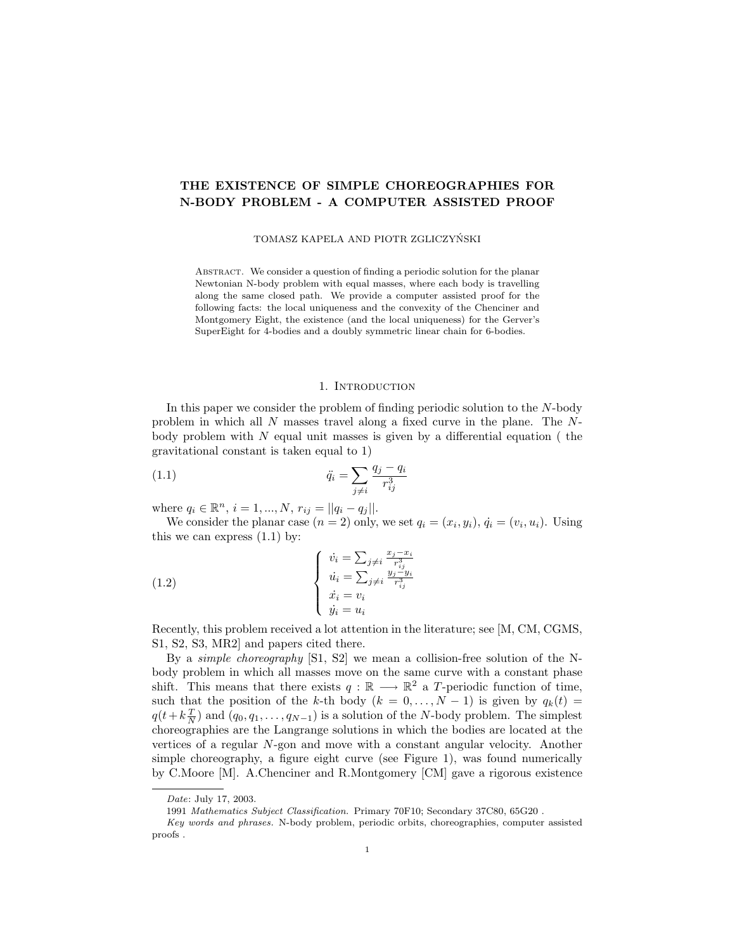# THE EXISTENCE OF SIMPLE CHOREOGRAPHIES FOR N-BODY PROBLEM - A COMPUTER ASSISTED PROOF

TOMASZ KAPELA AND PIOTR ZGLICZYŃSKI

Abstract. We consider a question of finding a periodic solution for the planar Newtonian N-body problem with equal masses, where each body is travelling along the same closed path. We provide a computer assisted proof for the following facts: the local uniqueness and the convexity of the Chenciner and Montgomery Eight, the existence (and the local uniqueness) for the Gerver's SuperEight for 4-bodies and a doubly symmetric linear chain for 6-bodies.

#### 1. INTRODUCTION

In this paper we consider the problem of finding periodic solution to the N-body problem in which all  $N$  masses travel along a fixed curve in the plane. The  $N$ body problem with  $N$  equal unit masses is given by a differential equation ( the gravitational constant is taken equal to 1)

(1.1) 
$$
\ddot{q}_i = \sum_{j \neq i} \frac{q_j - q_i}{r_{ij}^3}
$$

where  $q_i \in \mathbb{R}^n$ ,  $i = 1, ..., N$ ,  $r_{ij} = ||q_i - q_j||$ .

We consider the planar case  $(n = 2)$  only, we set  $q_i = (x_i, y_i), \dot{q}_i = (v_i, u_i)$ . Using this we can express  $(1.1)$  by:

(1.2) 
$$
\begin{cases}\n\dot{v}_i = \sum_{j \neq i} \frac{x_j - x_i}{r_{ij}^3} \\
\dot{u}_i = \sum_{j \neq i} \frac{y_j - y_i}{r_{ij}^3} \\
\dot{x}_i = v_i \\
\dot{y}_i = u_i\n\end{cases}
$$

Recently, this problem received a lot attention in the literature; see [M, CM, CGMS, S1, S2, S3, MR2] and papers cited there.

By a simple choreography [S1, S2] we mean a collision-free solution of the Nbody problem in which all masses move on the same curve with a constant phase shift. This means that there exists  $q : \mathbb{R} \longrightarrow \mathbb{R}^2$  a T-periodic function of time, such that the position of the k-th body  $(k = 0, \ldots, N - 1)$  is given by  $q_k(t) =$  $q(t+k\frac{T}{N})$  and  $(q_0, q_1, \ldots, q_{N-1})$  is a solution of the N-body problem. The simplest choreographies are the Langrange solutions in which the bodies are located at the vertices of a regular N-gon and move with a constant angular velocity. Another simple choreography, a figure eight curve (see Figure 1), was found numerically by C.Moore [M]. A.Chenciner and R.Montgomery [CM] gave a rigorous existence

Date: July 17, 2003.

<sup>1991</sup> Mathematics Subject Classification. Primary 70F10; Secondary 37C80, 65G20 .

Key words and phrases. N-body problem, periodic orbits, choreographies, computer assisted proofs .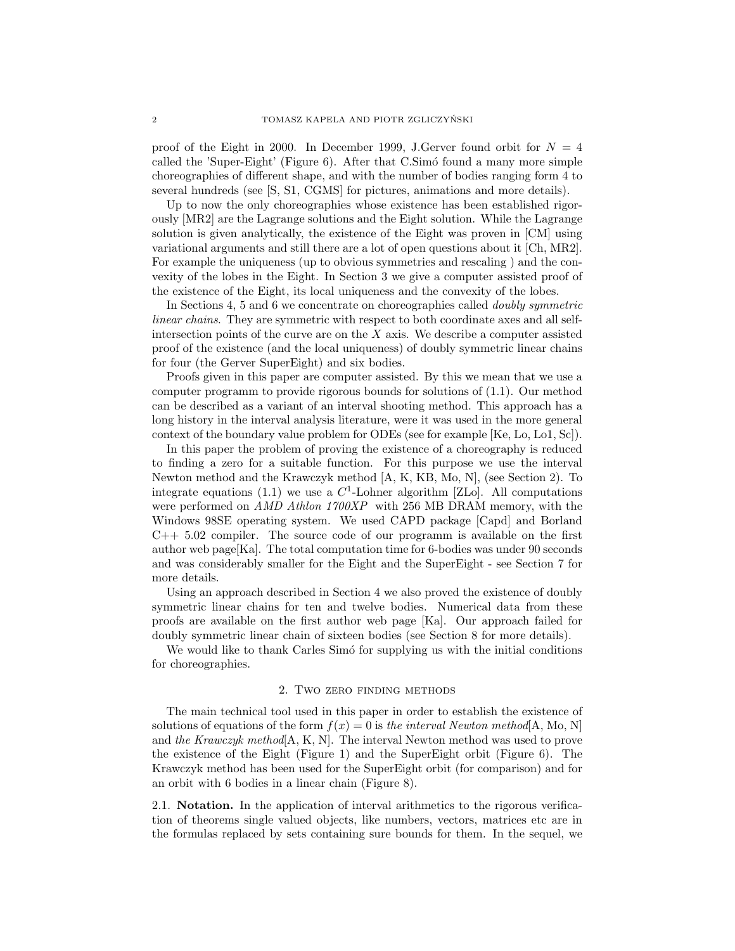proof of the Eight in 2000. In December 1999, J.Gerver found orbit for  $N = 4$ called the 'Super-Eight' (Figure  $6$ ). After that C.Simo found a many more simple choreographies of different shape, and with the number of bodies ranging form 4 to several hundreds (see [S, S1, CGMS] for pictures, animations and more details).

Up to now the only choreographies whose existence has been established rigorously [MR2] are the Lagrange solutions and the Eight solution. While the Lagrange solution is given analytically, the existence of the Eight was proven in [CM] using variational arguments and still there are a lot of open questions about it [Ch, MR2]. For example the uniqueness (up to obvious symmetries and rescaling ) and the convexity of the lobes in the Eight. In Section 3 we give a computer assisted proof of the existence of the Eight, its local uniqueness and the convexity of the lobes.

In Sections 4, 5 and 6 we concentrate on choreographies called doubly symmetric linear chains. They are symmetric with respect to both coordinate axes and all selfintersection points of the curve are on the  $X$  axis. We describe a computer assisted proof of the existence (and the local uniqueness) of doubly symmetric linear chains for four (the Gerver SuperEight) and six bodies.

Proofs given in this paper are computer assisted. By this we mean that we use a computer programm to provide rigorous bounds for solutions of (1.1). Our method can be described as a variant of an interval shooting method. This approach has a long history in the interval analysis literature, were it was used in the more general context of the boundary value problem for ODEs (see for example [Ke, Lo, Lo1, Sc]).

In this paper the problem of proving the existence of a choreography is reduced to finding a zero for a suitable function. For this purpose we use the interval Newton method and the Krawczyk method [A, K, KB, Mo, N], (see Section 2). To integrate equations (1.1) we use a  $C^1$ -Lohner algorithm [ZLo]. All computations were performed on AMD Athlon 1700XP with 256 MB DRAM memory, with the Windows 98SE operating system. We used CAPD package [Capd] and Borland  $C++ 5.02$  compiler. The source code of our programm is available on the first author web page[Ka]. The total computation time for 6-bodies was under 90 seconds and was considerably smaller for the Eight and the SuperEight - see Section 7 for more details.

Using an approach described in Section 4 we also proved the existence of doubly symmetric linear chains for ten and twelve bodies. Numerical data from these proofs are available on the first author web page [Ka]. Our approach failed for doubly symmetric linear chain of sixteen bodies (see Section 8 for more details).

We would like to thank Carles Simo for supplying us with the initial conditions for choreographies.

#### 2. Two zero finding methods

The main technical tool used in this paper in order to establish the existence of solutions of equations of the form  $f(x) = 0$  is the interval Newton method[A, Mo, N] and the Krawczyk method[A, K, N]. The interval Newton method was used to prove the existence of the Eight (Figure 1) and the SuperEight orbit (Figure 6). The Krawczyk method has been used for the SuperEight orbit (for comparison) and for an orbit with 6 bodies in a linear chain (Figure 8).

2.1. Notation. In the application of interval arithmetics to the rigorous verification of theorems single valued objects, like numbers, vectors, matrices etc are in the formulas replaced by sets containing sure bounds for them. In the sequel, we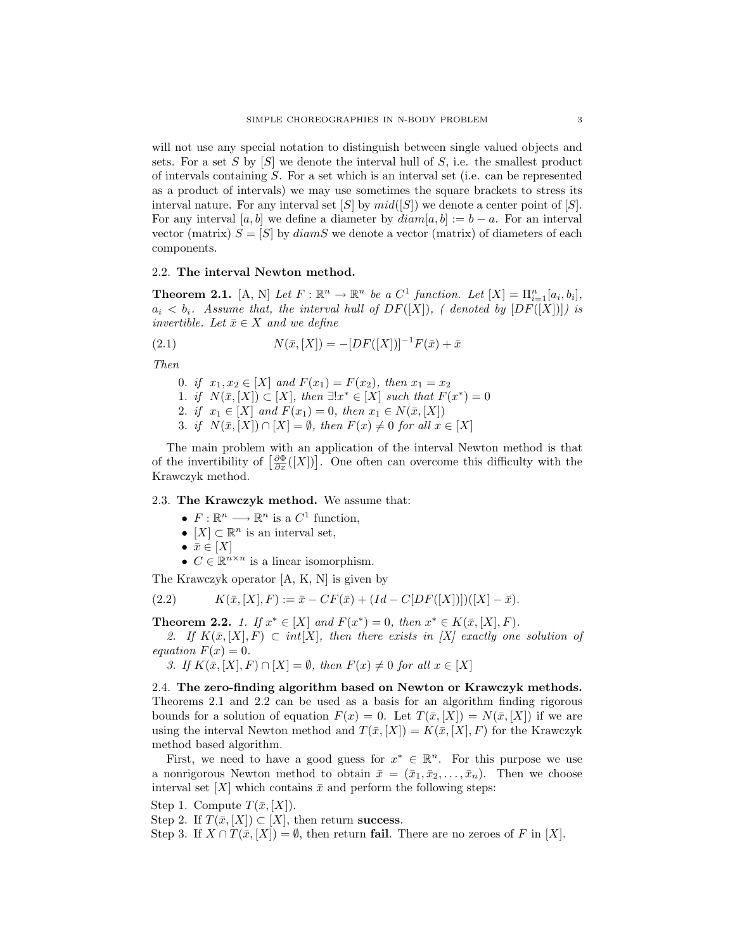will not use any special notation to distinguish between single valued objects and sets. For a set  $S$  by  $[S]$  we denote the interval hull of  $S$ , i.e. the smallest product of intervals containing S. For a set which is an interval set (i.e. can be represented as a product of intervals) we may use sometimes the square brackets to stress its interval nature. For any interval set  $[S]$  by  $mid([S])$  we denote a center point of  $[S]$ . For any interval [a, b] we define a diameter by  $diam[a, b] := b - a$ . For an interval vector (matrix)  $S = [S]$  by diamS we denote a vector (matrix) of diameters of each components.

## 2.2. The interval Newton method.

**Theorem 2.1.** [A, N] Let  $F : \mathbb{R}^n \to \mathbb{R}^n$  be a  $C^1$  function. Let  $[X] = \prod_{i=1}^n [a_i, b_i]$ ,  $a_i < b_i$ . Assume that, the interval hull of  $DF([X])$ , (denoted by  $DF([X])$ ) is invertible. Let  $\bar{x} \in X$  and we define

(2.1) 
$$
N(\bar{x}, [X]) = -[DF([X])]^{-1} F(\bar{x}) + \bar{x}
$$

Then

0. if  $x_1, x_2 \in [X]$  and  $F(x_1) = F(x_2)$ , then  $x_1 = x_2$ 

1. if 
$$
N(\bar{x}, [X]) \subset [X]
$$
, then  $\exists! x^* \in [X]$  such that  $F(x^*) = 0$ 

2. if  $x_1 \in [X]$  and  $F(x_1) = 0$ , then  $x_1 \in N(\bar{x}, [X])$ 

3. if  $N(\bar{x}, |X]) \cap |X| = \emptyset$ , then  $F(x) \neq 0$  for all  $x \in [X]$ 

The main problem with an application of the interval Newton method is that The main problem with an application of the interval Newton method is that of the invertibility of  $\left[\frac{\partial \Phi}{\partial x}([X])\right]$ . One often can overcome this difficulty with the Krawczyk method.

## 2.3. The Krawczyk method. We assume that:

- $F: \mathbb{R}^n \longrightarrow \mathbb{R}^n$  is a  $C^1$  function,
- $[X] \subset \mathbb{R}^n$  is an interval set,
- $\bar{x} \in [X]$
- $C \in \mathbb{R}^{n \times n}$  is a linear isomorphism.

The Krawczyk operator [A, K, N] is given by

(2.2) 
$$
K(\bar{x}, [X], F) := \bar{x} - CF(\bar{x}) + (Id - C[DF([X])])([X] - \bar{x}).
$$

**Theorem 2.2.** 1. If  $x^* \in [X]$  and  $F(x^*) = 0$ , then  $x^* \in K(\bar{x}, [X], F)$ .

2. If  $K(\bar{x}, [X], F) \subset int[X]$ , then there exists in [X] exactly one solution of equation  $F(x) = 0$ .

3. If  $K(\bar{x}, [X], F) \cap [X] = \emptyset$ , then  $F(x) \neq 0$  for all  $x \in [X]$ 

2.4. The zero-finding algorithm based on Newton or Krawczyk methods. Theorems 2.1 and 2.2 can be used as a basis for an algorithm finding rigorous bounds for a solution of equation  $F(x) = 0$ . Let  $T(\bar{x}, X|) = N(\bar{x}, X|)$  if we are using the interval Newton method and  $T(\bar{x}, [X]) = K(\bar{x}, [X], F)$  for the Krawczyk method based algorithm.

First, we need to have a good guess for  $x^* \in \mathbb{R}^n$ . For this purpose we use a nonrigorous Newton method to obtain  $\bar{x} = (\bar{x}_1, \bar{x}_2, \dots, \bar{x}_n)$ . Then we choose interval set  $[X]$  which contains  $\bar{x}$  and perform the following steps:

Step 1. Compute  $T(\bar{x}, [X])$ .

Step 2. If  $T(\bar{x}, [X]) \subset [X]$ , then return success.

Step 3. If  $X \cap T(\bar{x}, X) = \emptyset$ , then return fail. There are no zeroes of F in [X].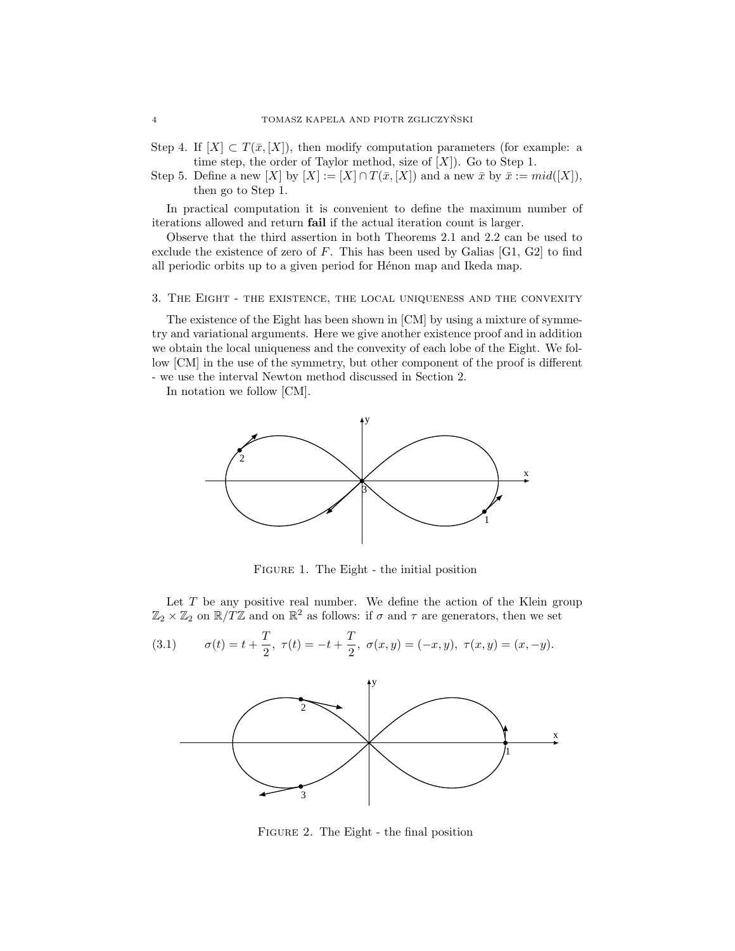Step 4. If  $[X] \subset T(\bar{x}, [X])$ , then modify computation parameters (for example: a time step, the order of Taylor method, size of  $[X]$ ). Go to Step 1.

Step 5. Define a new [X] by  $[X] := [X] \cap T(\bar{x}, [X])$  and a new  $\bar{x}$  by  $\bar{x} := mid([X]),$ then go to Step 1.

In practical computation it is convenient to define the maximum number of iterations allowed and return fail if the actual iteration count is larger.

Observe that the third assertion in both Theorems 2.1 and 2.2 can be used to exclude the existence of zero of F. This has been used by Galias  $[G1, G2]$  to find all periodic orbits up to a given period for Hénon map and Ikeda map.

3. The Eight - the existence, the local uniqueness and the convexity

The existence of the Eight has been shown in [CM] by using a mixture of symmetry and variational arguments. Here we give another existence proof and in addition we obtain the local uniqueness and the convexity of each lobe of the Eight. We follow [CM] in the use of the symmetry, but other component of the proof is different - we use the interval Newton method discussed in Section 2.

In notation we follow [CM].



FIGURE 1. The Eight - the initial position

Let  $T$  be any positive real number. We define the action of the Klein group  $\mathbb{Z}_2 \times \mathbb{Z}_2$  on  $\mathbb{R}/T\mathbb{Z}$  and on  $\mathbb{R}^2$  as follows: if  $\sigma$  and  $\tau$  are generators, then we set

(3.1) 
$$
\sigma(t) = t + \frac{T}{2}, \ \tau(t) = -t + \frac{T}{2}, \ \sigma(x, y) = (-x, y), \ \tau(x, y) = (x, -y).
$$



Figure 2. The Eight - the final position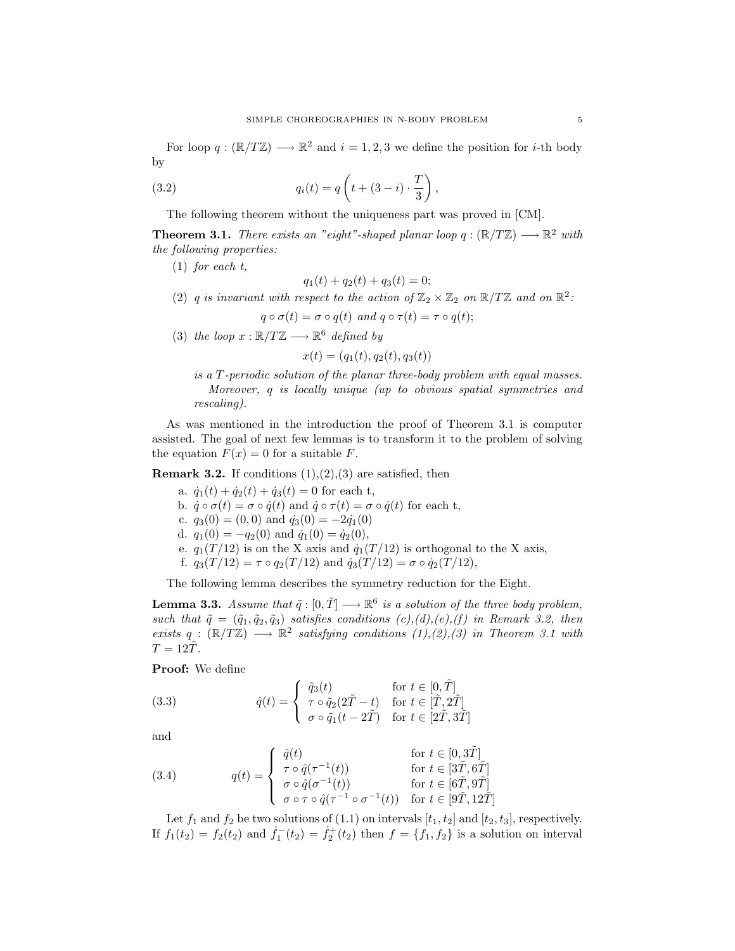For loop  $q: (\mathbb{R}/T\mathbb{Z}) \longrightarrow \mathbb{R}^2$  and  $i = 1, 2, 3$  we define the position for *i*-th body by  $\overline{a}$  $\mathbf{r}$ 

(3.2) 
$$
q_i(t) = q\left(t + (3 - i) \cdot \frac{T}{3}\right),
$$

The following theorem without the uniqueness part was proved in [CM].

**Theorem 3.1.** There exists an "eight"-shaped planar loop  $q : (\mathbb{R}/T\mathbb{Z}) \longrightarrow \mathbb{R}^2$  with the following properties:

 $(1)$  for each t,

$$
q_1(t) + q_2(t) + q_3(t) = 0;
$$

(2) q is invariant with respect to the action of  $\mathbb{Z}_2 \times \mathbb{Z}_2$  on  $\mathbb{R}/T\mathbb{Z}$  and on  $\mathbb{R}^2$ .

 $q \circ \sigma(t) = \sigma \circ q(t)$  and  $q \circ \tau(t) = \tau \circ q(t);$ 

(3) the loop  $x : \mathbb{R}/T\mathbb{Z} \longrightarrow \mathbb{R}^6$  defined by

 $x(t) = (q_1(t), q_2(t), q_3(t))$ 

is a T-periodic solution of the planar three-body problem with equal masses. Moreover, q is locally unique (up to obvious spatial symmetries and rescaling).

As was mentioned in the introduction the proof of Theorem 3.1 is computer assisted. The goal of next few lemmas is to transform it to the problem of solving the equation  $F(x) = 0$  for a suitable F.

**Remark 3.2.** If conditions  $(1),(2),(3)$  are satisfied, then

- a.  $\dot{q}_1(t) + \dot{q}_2(t) + \dot{q}_3(t) = 0$  for each t,
- b.  $\dot{q} \circ \sigma(t) = \sigma \circ \dot{q}(t)$  and  $\dot{q} \circ \tau(t) = \sigma \circ \dot{q}(t)$  for each t,
- c.  $q_3(0) = (0, 0)$  and  $\dot{q}_3(0) = -2\dot{q}_1(0)$
- d.  $q_1(0) = -q_2(0)$  and  $\dot{q}_1(0) = \dot{q}_2(0)$ ,
- e.  $q_1(T/12)$  is on the X axis and  $\dot{q}_1(T/12)$  is orthogonal to the X axis,
- f.  $q_3(T/12) = \tau \circ q_2(T/12)$  and  $\dot{q}_3(T/12) = \sigma \circ \dot{q}_2(T/12)$ ,

The following lemma describes the symmetry reduction for the Eight.

**Lemma 3.3.** Assume that  $\tilde{q}: [0, \tilde{T}] \longrightarrow \mathbb{R}^6$  is a solution of the three body problem, such that  $\tilde{q} = (\tilde{q}_1, \tilde{q}_2, \tilde{q}_3)$  satisfies conditions  $(c), (d), (e), (f)$  in Remark 3.2, then exists  $q : (\mathbb{R}/T\mathbb{Z}) \longrightarrow \mathbb{R}^2$  satisfying conditions  $(1), (2), (3)$  in Theorem 3.1 with  $T = 12\tilde{T}$ .

Proof: We define

(3.3) 
$$
\hat{q}(t) = \begin{cases} \tilde{q}_3(t) & \text{for } t \in [0, \tilde{T}] \\ \tau \circ \tilde{q}_2(2\tilde{T} - t) & \text{for } t \in [\tilde{T}, 2\tilde{T}] \\ \sigma \circ \tilde{q}_1(t - 2\tilde{T}) & \text{for } t \in [2\tilde{T}, 3\tilde{T}] \end{cases}
$$

and

(3.4) 
$$
q(t) = \begin{cases} \n\hat{q}(t) & \text{for } t \in [0, 3\tilde{T}] \\ \n\tau \circ \hat{q}(\tau^{-1}(t)) & \text{for } t \in [3\tilde{T}, 6\tilde{T}] \\ \n\sigma \circ \hat{q}(\sigma^{-1}(t)) & \text{for } t \in [6\tilde{T}, 9\tilde{T}] \\ \n\sigma \circ \tau \circ \hat{q}(\tau^{-1} \circ \sigma^{-1}(t)) & \text{for } t \in [9\tilde{T}, 12\tilde{T}] \n\end{cases}
$$

Let  $f_1$  and  $f_2$  be two solutions of (1.1) on intervals  $[t_1, t_2]$  and  $[t_2, t_3]$ , respectively. If  $f_1(t_2) = f_2(t_2)$  and  $f_1^-(t_2) = f_2^+(t_2)$  then  $f = \{f_1, f_2\}$  is a solution on interval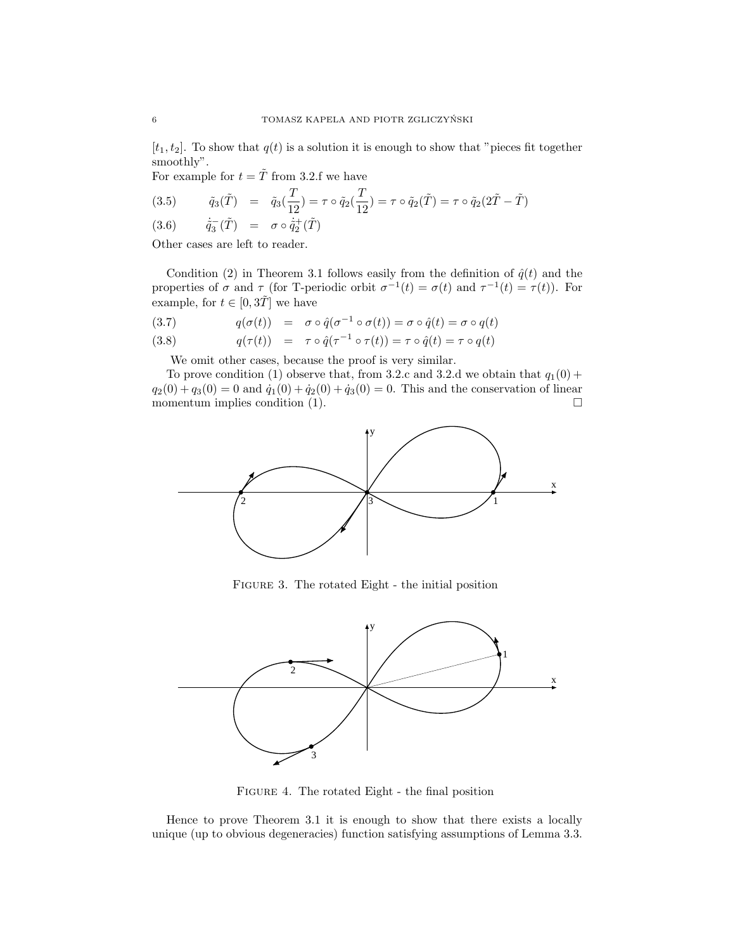$[t_1, t_2]$ . To show that  $q(t)$  is a solution it is enough to show that "pieces fit together smoothly".

For example for  $t = \tilde{T}$  from 3.2.f we have

(3.5) 
$$
\tilde{q}_3(\tilde{T}) = \tilde{q}_3(\frac{T}{12}) = \tau \circ \tilde{q}_2(\frac{T}{12}) = \tau \circ \tilde{q}_2(\tilde{T}) = \tau \circ \tilde{q}_2(2\tilde{T} - \tilde{T})
$$

(3.6)  $\dot{\tilde{q}}_3^-(\tilde{T}) = \sigma \circ \dot{\tilde{q}}_2^+(\tilde{T})$ 

Other cases are left to reader.

Condition (2) in Theorem 3.1 follows easily from the definition of  $\hat{q}(t)$  and the properties of  $\sigma$  and  $\tau$  (for T-periodic orbit  $\sigma^{-1}(t) = \sigma(t)$  and  $\tau^{-1}(t) = \tau(t)$ ). For example, for  $t \in [0, 3\tilde{T}]$  we have

(3.7) 
$$
q(\sigma(t)) = \sigma \circ \hat{q}(\sigma^{-1} \circ \sigma(t)) = \sigma \circ \hat{q}(t) = \sigma \circ q(t)
$$

(3.8) 
$$
q(\tau(t)) = \tau \circ \hat{q}(\tau^{-1} \circ \tau(t)) = \tau \circ \hat{q}(t) = \tau \circ q(t)
$$

We omit other cases, because the proof is very similar.

To prove condition (1) observe that, from 3.2.c and 3.2.d we obtain that  $q_1(0)$  +  $q_2(0) + q_3(0) = 0$  and  $\dot{q}_1(0) + \dot{q}_2(0) + \dot{q}_3(0) = 0$ . This and the conservation of linear momentum implies condition (1).  $\Box$ 



Figure 3. The rotated Eight - the initial position



Figure 4. The rotated Eight - the final position

Hence to prove Theorem 3.1 it is enough to show that there exists a locally unique (up to obvious degeneracies) function satisfying assumptions of Lemma 3.3.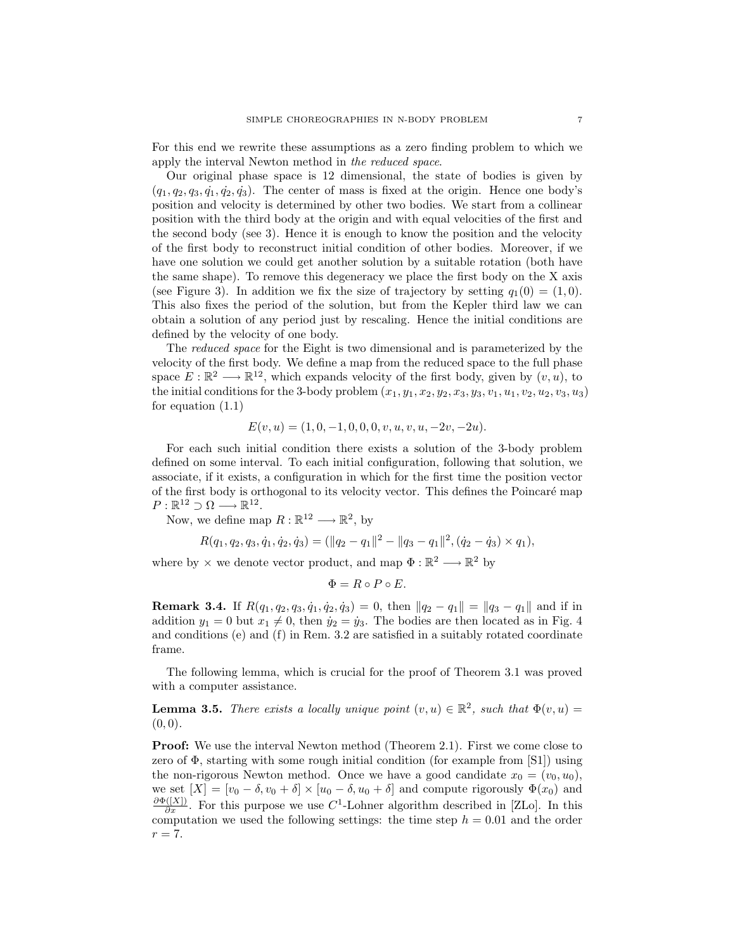For this end we rewrite these assumptions as a zero finding problem to which we apply the interval Newton method in the reduced space.

Our original phase space is 12 dimensional, the state of bodies is given by  $(q_1, q_2, q_3, \dot{q}_1, \dot{q}_2, \dot{q}_3)$ . The center of mass is fixed at the origin. Hence one body's position and velocity is determined by other two bodies. We start from a collinear position with the third body at the origin and with equal velocities of the first and the second body (see 3). Hence it is enough to know the position and the velocity of the first body to reconstruct initial condition of other bodies. Moreover, if we have one solution we could get another solution by a suitable rotation (both have the same shape). To remove this degeneracy we place the first body on the X axis (see Figure 3). In addition we fix the size of trajectory by setting  $q_1(0) = (1, 0)$ . This also fixes the period of the solution, but from the Kepler third law we can obtain a solution of any period just by rescaling. Hence the initial conditions are defined by the velocity of one body.

The reduced space for the Eight is two dimensional and is parameterized by the velocity of the first body. We define a map from the reduced space to the full phase space  $E: \mathbb{R}^2 \longrightarrow \mathbb{R}^{12}$ , which expands velocity of the first body, given by  $(v, u)$ , to the initial conditions for the 3-body problem  $(x_1, y_1, x_2, y_2, x_3, y_3, v_1, u_1, v_2, u_2, v_3, u_3)$ for equation (1.1)

$$
E(v, u) = (1, 0, -1, 0, 0, 0, v, u, v, u, -2v, -2u).
$$

For each such initial condition there exists a solution of the 3-body problem defined on some interval. To each initial configuration, following that solution, we associate, if it exists, a configuration in which for the first time the position vector of the first body is orthogonal to its velocity vector. This defines the Poincar´e map  $P: \mathbb{R}^{12} \supset \Omega \longrightarrow \mathbb{R}^{12}.$ 

Now, we define map  $R : \mathbb{R}^{12} \longrightarrow \mathbb{R}^2$ , by

$$
R(q_1, q_2, q_3, \dot{q}_1, \dot{q}_2, \dot{q}_3) = (\|q_2 - q_1\|^2 - \|q_3 - q_1\|^2, (\dot{q}_2 - \dot{q}_3) \times q_1),
$$

where by  $\times$  we denote vector product, and map  $\Phi : \mathbb{R}^2 \longrightarrow \mathbb{R}^2$  by

$$
\Phi = R \circ P \circ E.
$$

**Remark 3.4.** If  $R(q_1, q_2, q_3, \dot{q}_1, \dot{q}_2, \dot{q}_3) = 0$ , then  $||q_2 - q_1|| = ||q_3 - q_1||$  and if in addition  $y_1 = 0$  but  $x_1 \neq 0$ , then  $\dot{y}_2 = \dot{y}_3$ . The bodies are then located as in Fig. 4 and conditions (e) and (f) in Rem. 3.2 are satisfied in a suitably rotated coordinate frame.

The following lemma, which is crucial for the proof of Theorem 3.1 was proved with a computer assistance.

**Lemma 3.5.** There exists a locally unique point  $(v, u) \in \mathbb{R}^2$ , such that  $\Phi(v, u) =$  $(0, 0)$ .

Proof: We use the interval Newton method (Theorem 2.1). First we come close to zero of  $\Phi$ , starting with some rough initial condition (for example from [S1]) using the non-rigorous Newton method. Once we have a good candidate  $x_0 = (v_0, u_0)$ , we set  $[X] = [v_0 - \delta, v_0 + \delta] \times [u_0 - \delta, u_0 + \delta]$  and compute rigorously  $\Phi(x_0)$  and  $\frac{\partial \Phi([X])}{\partial x}$ . For this purpose we use C<sup>1</sup>-Lohner algorithm described in [ZLo]. In this computation we used the following settings: the time step  $h = 0.01$  and the order  $r=7$ .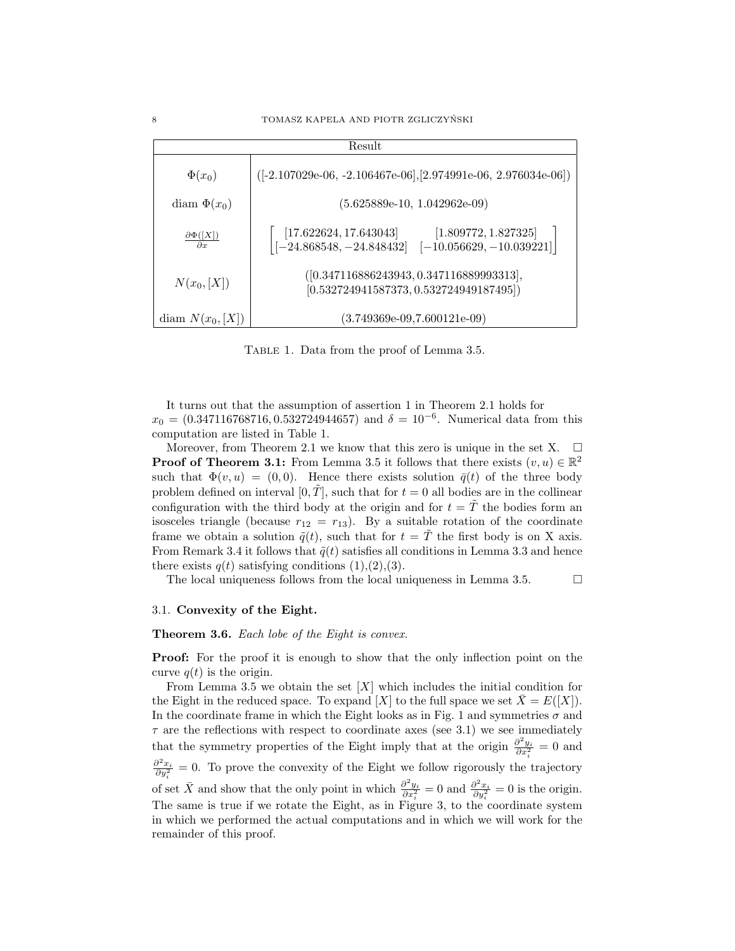| Result                                  |                                                                                                                                      |  |
|-----------------------------------------|--------------------------------------------------------------------------------------------------------------------------------------|--|
| $\Phi(x_0)$                             | $([-2.107029e-06, -2.106467e-06], [2.974991e-06, 2.976034e-06])$                                                                     |  |
| diam $\Phi(x_0)$                        | $(5.625889e-10, 1.042962e-09)$                                                                                                       |  |
| $\frac{\partial \Phi([X])}{\partial x}$ | $\begin{bmatrix} [17.622624, 17.643043] & [1.809772, 1.827325] \\ [-24.868548, -24.848432] & [-10.056629, -10.039221] \end{bmatrix}$ |  |
| $N(x_0, [X])$                           | $([0.347116886243943, 0.347116889993313],$<br>$[0.532724941587373, 0.532724949187495]$                                               |  |
| diam $N(x_0, [X])$                      | $(3.749369e-09,7.600121e-09)$                                                                                                        |  |

Table 1. Data from the proof of Lemma 3.5.

It turns out that the assumption of assertion 1 in Theorem 2.1 holds for  $x_0 = (0.347116768716, 0.532724944657)$  and  $\delta = 10^{-6}$ . Numerical data from this computation are listed in Table 1.

Moreover, from Theorem 2.1 we know that this zero is unique in the set X.  $\Box$ **Proof of Theorem 3.1:** From Lemma 3.5 it follows that there exists  $(v, u) \in \mathbb{R}^2$ such that  $\Phi(v, u) = (0, 0)$ . Hence there exists solution  $\bar{q}(t)$  of the three body problem defined on interval  $[0, \tilde{T}]$ , such that for  $t = 0$  all bodies are in the collinear configuration with the third body at the origin and for  $t = T$  the bodies form an isosceles triangle (because  $r_{12} = r_{13}$ ). By a suitable rotation of the coordinate frame we obtain a solution  $\tilde{q}(t)$ , such that for  $t = \tilde{T}$  the first body is on X axis. From Remark 3.4 it follows that  $\tilde{q}(t)$  satisfies all conditions in Lemma 3.3 and hence there exists  $q(t)$  satisfying conditions  $(1),(2),(3)$ .

The local uniqueness follows from the local uniqueness in Lemma 3.5.  $\Box$ 

#### 3.1. Convexity of the Eight.

Theorem 3.6. Each lobe of the Eight is convex.

**Proof:** For the proof it is enough to show that the only inflection point on the curve  $q(t)$  is the origin.

From Lemma 3.5 we obtain the set  $[X]$  which includes the initial condition for the Eight in the reduced space. To expand [X] to the full space we set  $X = E([X])$ . In the coordinate frame in which the Eight looks as in Fig. 1 and symmetries  $\sigma$  and  $\tau$  are the reflections with respect to coordinate axes (see 3.1) we see immediately that the symmetry properties of the Eight imply that at the origin  $\frac{\partial^2 y_i}{\partial x_i^2} = 0$  and  $\frac{\partial^2 x_i}{\partial y_i^2} = 0$ . To prove the convexity of the Eight we follow rigorously the trajectory of set  $\bar{X}$  and show that the only point in which  $\frac{\partial^2 y_i}{\partial x_i^2} = 0$  and  $\frac{\partial^2 x_i}{\partial y_i^2} = 0$  is the origin. The same is true if we rotate the Eight, as in Figure 3, to the coordinate system in which we performed the actual computations and in which we will work for the remainder of this proof.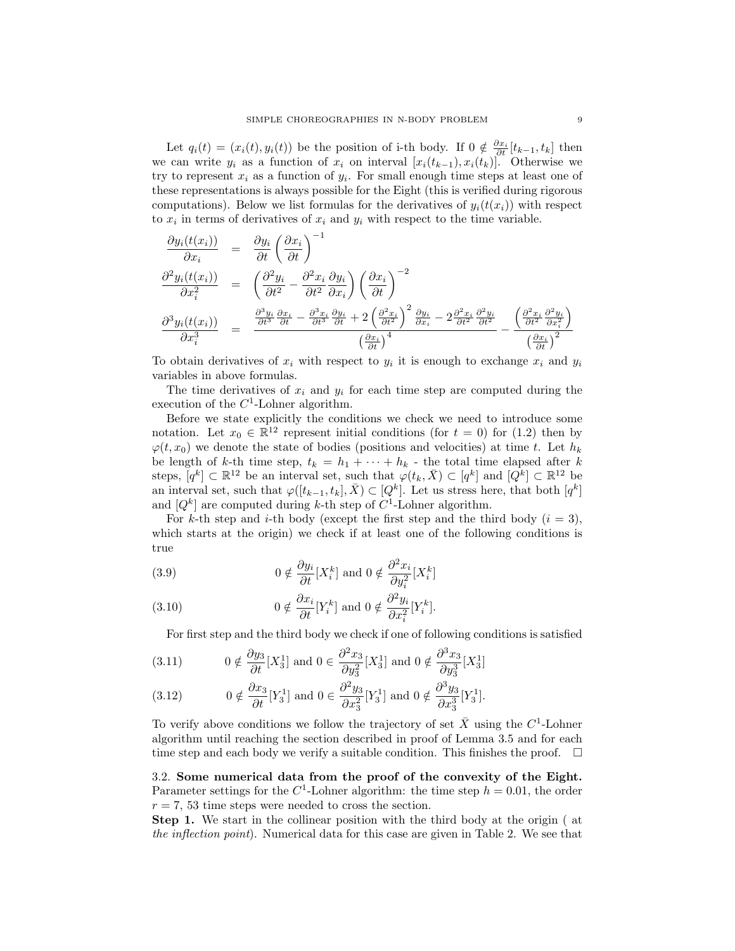Let  $q_i(t) = (x_i(t), y_i(t))$  be the position of i-th body. If  $0 \notin \frac{\partial x_i}{\partial t}[t_{k-1}, t_k]$  then we can write  $y_i$  as a function of  $x_i$  on interval  $[x_i(t_{k-1}), x_i(t_k)]$ . Otherwise we try to represent  $x_i$  as a function of  $y_i$ . For small enough time steps at least one of these representations is always possible for the Eight (this is verified during rigorous computations). Below we list formulas for the derivatives of  $y_i(t(x_i))$  with respect to  $x_i$  in terms of derivatives of  $x_i$  and  $y_i$  with respect to the time variable.

$$
\frac{\partial y_i(t(x_i))}{\partial x_i} = \frac{\partial y_i}{\partial t} \left(\frac{\partial x_i}{\partial t}\right)^{-1}
$$
\n
$$
\frac{\partial^2 y_i(t(x_i))}{\partial x_i^2} = \left(\frac{\partial^2 y_i}{\partial t^2} - \frac{\partial^2 x_i}{\partial t^2} \frac{\partial y_i}{\partial x_i}\right) \left(\frac{\partial x_i}{\partial t}\right)^{-2}
$$
\n
$$
\frac{\partial^3 y_i(t(x_i))}{\partial x_i^3} = \frac{\frac{\partial^3 y_i}{\partial t^3} \frac{\partial x_i}{\partial t} - \frac{\partial^3 x_i}{\partial t^3} \frac{\partial y_i}{\partial t} + 2\left(\frac{\partial^2 x_i}{\partial t^2}\right)^2 \frac{\partial y_i}{\partial x_i} - 2\frac{\partial^2 x_i}{\partial t^2} \frac{\partial^2 y_i}{\partial t^2}}{\left(\frac{\partial x_i}{\partial t}\right)^2} - \frac{\left(\frac{\partial^2 x_i}{\partial t^2} \frac{\partial^2 y_i}{\partial x_i^2}\right)}{\left(\frac{\partial x_i}{\partial t}\right)^2}
$$

To obtain derivatives of  $x_i$  with respect to  $y_i$  it is enough to exchange  $x_i$  and  $y_i$ variables in above formulas.

The time derivatives of  $x_i$  and  $y_i$  for each time step are computed during the execution of the  $C<sup>1</sup>$ -Lohner algorithm.

Before we state explicitly the conditions we check we need to introduce some notation. Let  $x_0 \in \mathbb{R}^{12}$  represent initial conditions (for  $t = 0$ ) for (1.2) then by  $\varphi(t, x_0)$  we denote the state of bodies (positions and velocities) at time t. Let  $h_k$ be length of k-th time step,  $t_k = h_1 + \cdots + h_k$  - the total time elapsed after k steps,  $[q^k] \subset \mathbb{R}^{12}$  be an interval set, such that  $\varphi(t_k, \bar{X}) \subset [q^k]$  and  $[Q^k] \subset \mathbb{R}^{12}$  be an interval set, such that  $\varphi([t_{k-1}, t_k], \bar{X}) \subset [Q^k]$ . Let us stress here, that both  $[q^k]$ and  $[Q^k]$  are computed during k-th step of  $C^1$ -Lohner algorithm.

For k-th step and i-th body (except the first step and the third body  $(i = 3)$ , which starts at the origin) we check if at least one of the following conditions is true

(3.9) 
$$
0 \notin \frac{\partial y_i}{\partial t}[X_i^k] \text{ and } 0 \notin \frac{\partial^2 x_i}{\partial y_i^2}[X_i^k]
$$

(3.10) 
$$
0 \notin \frac{\partial x_i}{\partial t}[Y_i^k] \text{ and } 0 \notin \frac{\partial^2 y_i}{\partial x_i^2}[Y_i^k].
$$

For first step and the third body we check if one of following conditions is satisfied

(3.11) 
$$
0 \notin \frac{\partial y_3}{\partial t}[X_3^1] \text{ and } 0 \in \frac{\partial^2 x_3}{\partial y_3^2}[X_3^1] \text{ and } 0 \notin \frac{\partial^3 x_3}{\partial y_3^3}[X_3^1]
$$

(3.12) 
$$
0 \notin \frac{\partial x_3}{\partial t}[Y_3^1]
$$
 and  $0 \in \frac{\partial^2 y_3}{\partial x_3^2}[Y_3^1]$  and  $0 \notin \frac{\partial^3 y_3}{\partial x_3^3}[Y_3^1]$ .

To verify above conditions we follow the trajectory of set  $\overline{X}$  using the  $C^1$ -Lohner algorithm until reaching the section described in proof of Lemma 3.5 and for each time step and each body we verify a suitable condition. This finishes the proof.  $\Box$ 

3.2. Some numerical data from the proof of the convexity of the Eight. Parameter settings for the  $C^1$ -Lohner algorithm: the time step  $h = 0.01$ , the order  $r = 7, 53$  time steps were needed to cross the section.

Step 1. We start in the collinear position with the third body at the origin ( at the inflection point). Numerical data for this case are given in Table 2. We see that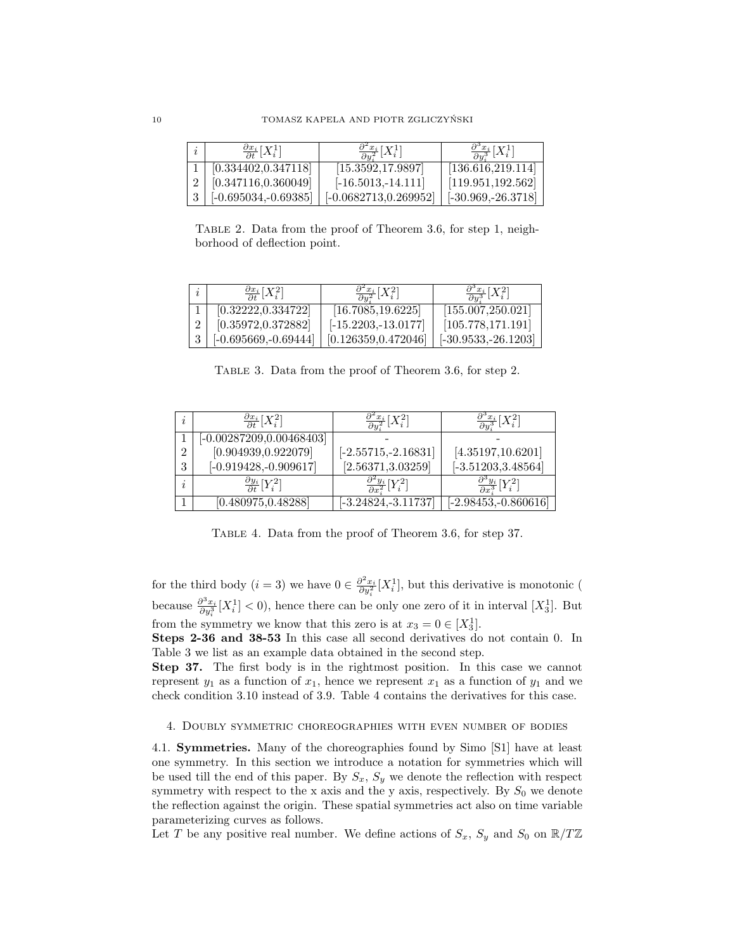| $\frac{\partial x_i}{\partial t}[X_i^1]$ | $\frac{\partial^2 x_i}{\partial y_i^2}[X_i^1]$ | $\frac{\partial^3 x_i}{\partial y_i^3}[X_i^1]$ |
|------------------------------------------|------------------------------------------------|------------------------------------------------|
| [0.334402, 0.347118]                     | [15.3592, 17.9897]                             | [136.616, 219.114]                             |
| [0.347116, 0.360049]                     | $[-16.5013,-14.111]$                           | [119.951, 192.562]                             |
| $[-0.695034, -0.69385]$                  | $[-0.0682713, 0.269952]$                       | $[-30.969, -26.3718]$                          |

Table 2. Data from the proof of Theorem 3.6, for step 1, neighborhood of deflection point.

| $\frac{\partial x_i}{\partial t} [X_i^2]$ | $\frac{\partial^2 x_i}{\partial u_i^2} [X_i^2]$ | $\frac{\partial^3 x_i}{\partial u^3}[X_i^2]$ |
|-------------------------------------------|-------------------------------------------------|----------------------------------------------|
| [0.32222, 0.334722]                       | [16.7085, 19.6225]                              | [155.007, 250.021]                           |
| [0.35972, 0.372882]                       | $[-15.2203, -13.0177]$                          | [105.778, 171.191]                           |
| $[-0.695669, -0.69444]$                   | [0.126359, 0.472046]                            | $[-30.9533, -26.1203]$                       |

Table 3. Data from the proof of Theorem 3.6, for step 2.

| $\frac{\partial x_i}{\partial t} [X_i^2]$ | $\frac{\partial^2 x_i}{\partial y_i^2}[X_i^2]$  | $\frac{\partial^{\circ} x_i}{\partial y_i^3}[X_i^2]$ |
|-------------------------------------------|-------------------------------------------------|------------------------------------------------------|
| $[-0.00287209, 0.00468403]$               |                                                 |                                                      |
| [0.904939, 0.922079]                      | $[-2.55715, -2.16831]$                          | [4.35197, 10.6201]                                   |
| $[-0.919428, -0.909617]$                  | [2.56371, 3.03259]                              | $[-3.51203, 3.48564]$                                |
| $\frac{\partial y_i}{\partial t} [Y_i^2]$ | $\frac{\partial^2 y_i}{\partial x_i^2} [Y_i^2]$ | $\frac{\partial^3 y_i}{\partial x^3}[Y_i^2]$         |
| [0.480975, 0.48288]                       | $[-3.24824, -3.11737]$                          | $[-2.98453, -0.860616]$                              |

Table 4. Data from the proof of Theorem 3.6, for step 37.

for the third body  $(i = 3)$  we have  $0 \in \frac{\partial^2 x_i}{\partial y_i^2}[X_i^1]$ , but this derivative is monotonic ( because  $\frac{\partial^3 x_i}{\partial y_i^3}[X_i^1] < 0$ , hence there can be only one zero of it in interval  $[X_3^1]$ . But from the symmetry we know that this zero is at  $x_3 = 0 \in [X_3^1]$ .

Steps 2-36 and 38-53 In this case all second derivatives do not contain 0. In Table 3 we list as an example data obtained in the second step.

Step 37. The first body is in the rightmost position. In this case we cannot represent  $y_1$  as a function of  $x_1$ , hence we represent  $x_1$  as a function of  $y_1$  and we check condition 3.10 instead of 3.9. Table 4 contains the derivatives for this case.

## 4. Doubly symmetric choreographies with even number of bodies

4.1. Symmetries. Many of the choreographies found by Simo [S1] have at least one symmetry. In this section we introduce a notation for symmetries which will be used till the end of this paper. By  $S_x$ ,  $S_y$  we denote the reflection with respect symmetry with respect to the x axis and the y axis, respectively. By  $S_0$  we denote the reflection against the origin. These spatial symmetries act also on time variable parameterizing curves as follows.

Let T be any positive real number. We define actions of  $S_x$ ,  $S_y$  and  $S_0$  on  $\mathbb{R}/T\mathbb{Z}$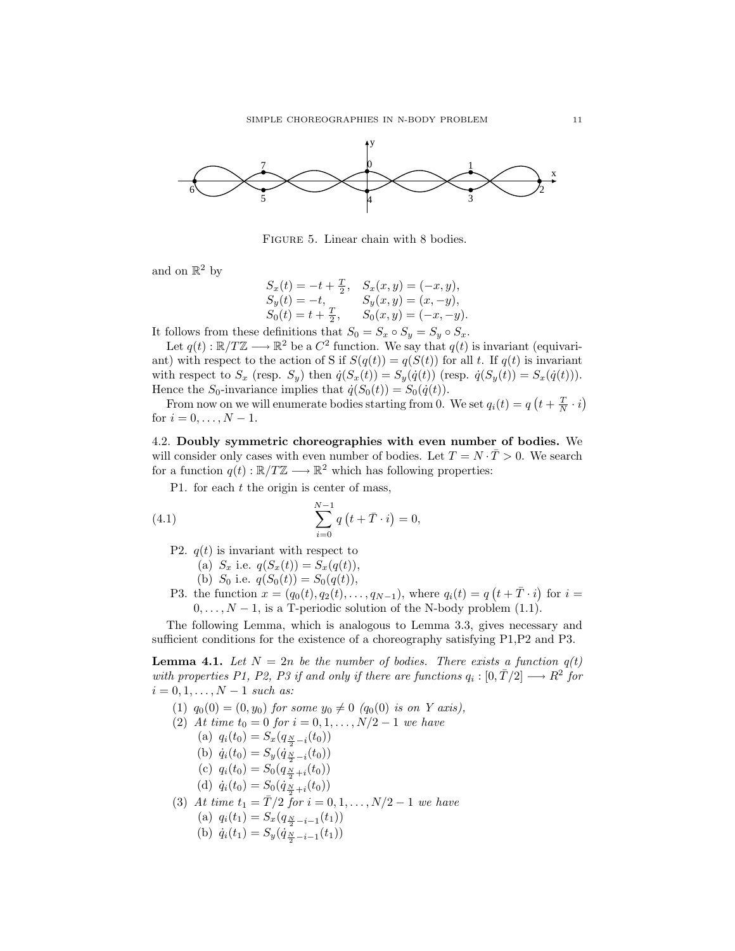

FIGURE 5. Linear chain with 8 bodies.

and on  $\mathbb{R}^2$  by

$$
S_x(t) = -t + \frac{T}{2}, \quad S_x(x, y) = (-x, y),
$$
  
\n
$$
S_y(t) = -t, \quad S_y(x, y) = (x, -y),
$$
  
\n
$$
S_0(t) = t + \frac{T}{2}, \quad S_0(x, y) = (-x, -y).
$$

It follows from these definitions that  $S_0 = S_x \circ S_y = S_y \circ S_x$ .

Let  $q(t): \mathbb{R}/T\mathbb{Z} \longrightarrow \mathbb{R}^2$  be a  $C^2$  function. We say that  $q(t)$  is invariant (equivariant) with respect to the action of S if  $S(q(t)) = q(S(t))$  for all t. If  $q(t)$  is invariant with respect to  $S_x$  (resp.  $S_y$ ) then  $\dot{q}(S_x(t)) = S_y(\dot{q}(t))$  (resp.  $\dot{q}(S_y(t)) = S_x(\dot{q}(t))$ ). Hence the  $S_0$ -invariance implies that  $\dot{q}(S_0(t)) = S_0(\dot{q}(t)).$ ¡

From now on we will enumerate bodies starting from 0. We set  $q_i(t) = q_i$  $t+\frac{T}{N}\cdot i$ ¢ for  $i = 0, ..., N - 1$ .

4.2. Doubly symmetric choreographies with even number of bodies. We will consider only cases with even number of bodies. Let  $T = N \cdot T > 0$ . We search for a function  $q(t): \mathbb{R}/T\mathbb{Z} \longrightarrow \mathbb{R}^2$  which has following properties:

P1. for each  $t$  the origin is center of mass,

(4.1) 
$$
\sum_{i=0}^{N-1} q(t+\bar{T}\cdot i) = 0,
$$

P2.  $q(t)$  is invariant with respect to

(a)  $S_x$  i.e.  $q(S_x(t)) = S_x(q(t)),$ 

(b) 
$$
S_0
$$
 i.e.  $q(S_0(t)) = S_0(q(t)),$ 

P3. the function  $x = (q_0(t), q_2(t), \ldots, q_{N-1})$ , where  $q_i(t) = q_i$  $(t+\bar{T}\cdot i)$ for  $i =$  $0, \ldots, N-1$ , is a T-periodic solution of the N-body problem (1.1).

The following Lemma, which is analogous to Lemma 3.3, gives necessary and sufficient conditions for the existence of a choreography satisfying P1,P2 and P3.

**Lemma 4.1.** Let  $N = 2n$  be the number of bodies. There exists a function  $q(t)$ with properties P1, P2, P3 if and only if there are functions  $q_i : [0, \overline{T}/2] \longrightarrow R^2$  for  $i = 0, 1, \ldots, N - 1$  such as:

- (1)  $q_0(0) = (0, y_0)$  for some  $y_0 \neq 0$   $(q_0(0)$  is on Y axis),
- (2) At time  $t_0 = 0$  for  $i = 0, 1, ..., N/2 1$  we have
	- (a)  $q_i(t_0) = S_x(q_{\frac{N}{2}-i}(t_0))$
	- (b)  $\dot{q}_i(t_0) = S_y(\dot{q}_{\frac{N}{2}-i}(t_0))$
	- (c)  $q_i(t_0) = S_0(q_{\frac{N}{2}+i}(t_0))$
	-
	- (d)  $\dot{q}_i(t_0) = S_0(\dot{q}_{\frac{N}{2}+i}(t_0))$
- (3) At time  $t_1 = \bar{T}/2$  for  $i = 0, 1, ..., N/2 1$  we have
	- (a)  $q_i(t_1) = S_x(q_{\frac{N}{2}-i-1}(t_1))$
	- (b)  $\dot{q}_i(t_1) = S_y(\dot{q}_{\frac{N}{2}-i-1}(t_1))$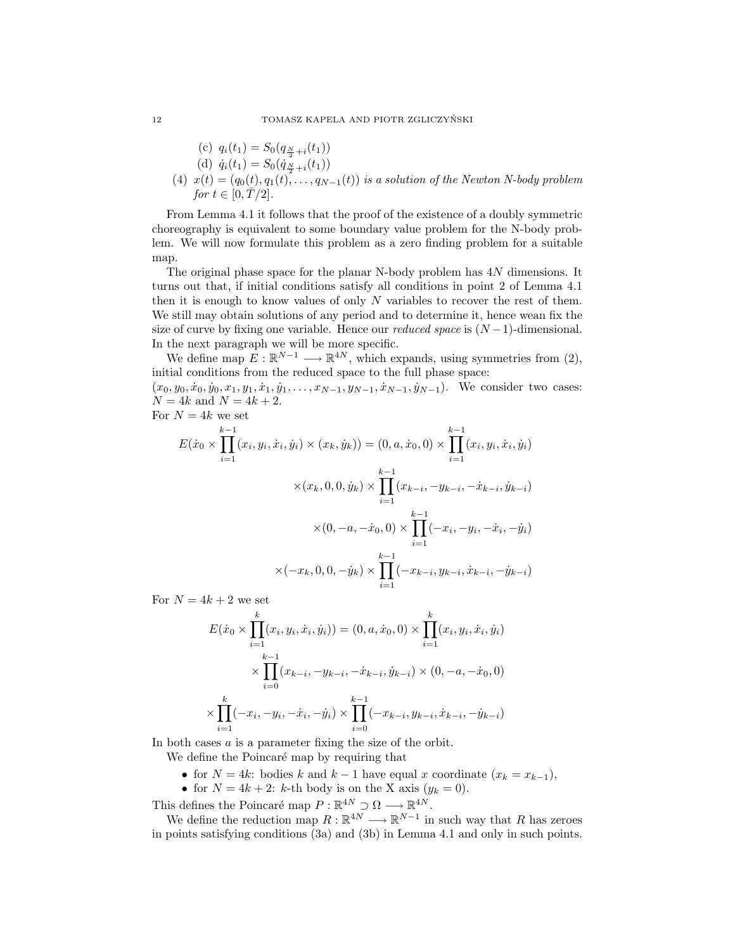- (c)  $q_i(t_1) = S_0(q_{\frac{N}{2}+i}(t_1))$
- (d)  $\dot{q}_i(t_1) = S_0(\dot{q}_{\frac{N}{2}+i}(t_1))$
- (4)  $x(t) = (q_0(t), q_1(t), \ldots, q_{N-1}(t))$  is a solution of the Newton N-body problem for  $t \in [0, T/2]$ .

From Lemma 4.1 it follows that the proof of the existence of a doubly symmetric choreography is equivalent to some boundary value problem for the N-body problem. We will now formulate this problem as a zero finding problem for a suitable map.

The original phase space for the planar N-body problem has 4N dimensions. It turns out that, if initial conditions satisfy all conditions in point 2 of Lemma 4.1 then it is enough to know values of only N variables to recover the rest of them. We still may obtain solutions of any period and to determine it, hence wean fix the size of curve by fixing one variable. Hence our *reduced space* is  $(N-1)$ -dimensional. In the next paragraph we will be more specific.

We define map  $E: \mathbb{R}^{N-1} \longrightarrow \mathbb{R}^{4N}$ , which expands, using symmetries from (2), initial conditions from the reduced space to the full phase space:

 $(x_0, y_0, \dot{x}_0, \dot{y}_0, x_1, y_1, \dot{x}_1, \dot{y}_1, \dots, x_{N-1}, y_{N-1}, \dot{x}_{N-1}, \dot{y}_{N-1})$ . We consider two cases:  $N = 4k$  and  $N = 4k + 2$ .

For 
$$
N = 4k
$$
 we set  
\n
$$
E(\dot{x}_0 \times \prod_{i=1}^{k-1} (x_i, y_i, \dot{x}_i, \dot{y}_i) \times (x_k, \dot{y}_k)) = (0, a, \dot{x}_0, 0) \times \prod_{i=1}^{k-1} (x_i, y_i, \dot{x}_i, \dot{y}_i)
$$
\n
$$
\times (x_k, 0, 0, \dot{y}_k) \times \prod_{i=1}^{k-1} (x_{k-i}, -y_{k-i}, -\dot{x}_{k-i}, \dot{y}_{k-i})
$$
\n
$$
\times (0, -a, -\dot{x}_0, 0) \times \prod_{i=1}^{k-1} (-x_i, -y_i, -\dot{x}_i, -\dot{y}_i)
$$
\n
$$
\times (-x_k, 0, 0, -\dot{y}_k) \times \prod_{i=1}^{k-1} (-x_{k-i}, y_{k-i}, \dot{x}_{k-i}, -\dot{y}_{k-i})
$$

For  $N = 4k + 2$  we set

$$
E(\dot{x}_0 \times \prod_{i=1}^k (x_i, y_i, \dot{x}_i, \dot{y}_i)) = (0, a, \dot{x}_0, 0) \times \prod_{i=1}^k (x_i, y_i, \dot{x}_i, \dot{y}_i)
$$
  
 
$$
\times \prod_{i=0}^{k-1} (x_{k-i}, -y_{k-i}, -\dot{x}_{k-i}, \dot{y}_{k-i}) \times (0, -a, -\dot{x}_0, 0)
$$
  
 
$$
\times \prod_{i=1}^k (-x_i, -y_i, -\dot{x}_i, -\dot{y}_i) \times \prod_{i=0}^{k-1} (-x_{k-i}, y_{k-i}, \dot{x}_{k-i}, -\dot{y}_{k-i})
$$

In both cases  $a$  is a parameter fixing the size of the orbit.

We define the Poincaré map by requiring that

- for  $N = 4k$ : bodies k and  $k 1$  have equal x coordinate  $(x_k = x_{k-1}),$
- for  $N = 4k + 2$ : k-th body is on the X axis  $(y_k = 0)$ .

This defines the Poincaré map  $P : \mathbb{R}^{4N} \supset \Omega \longrightarrow \mathbb{R}^{4N}$ .

We define the reduction map  $R: \mathbb{R}^{4N} \longrightarrow \mathbb{R}^{N-1}$  in such way that R has zeroes in points satisfying conditions (3a) and (3b) in Lemma 4.1 and only in such points.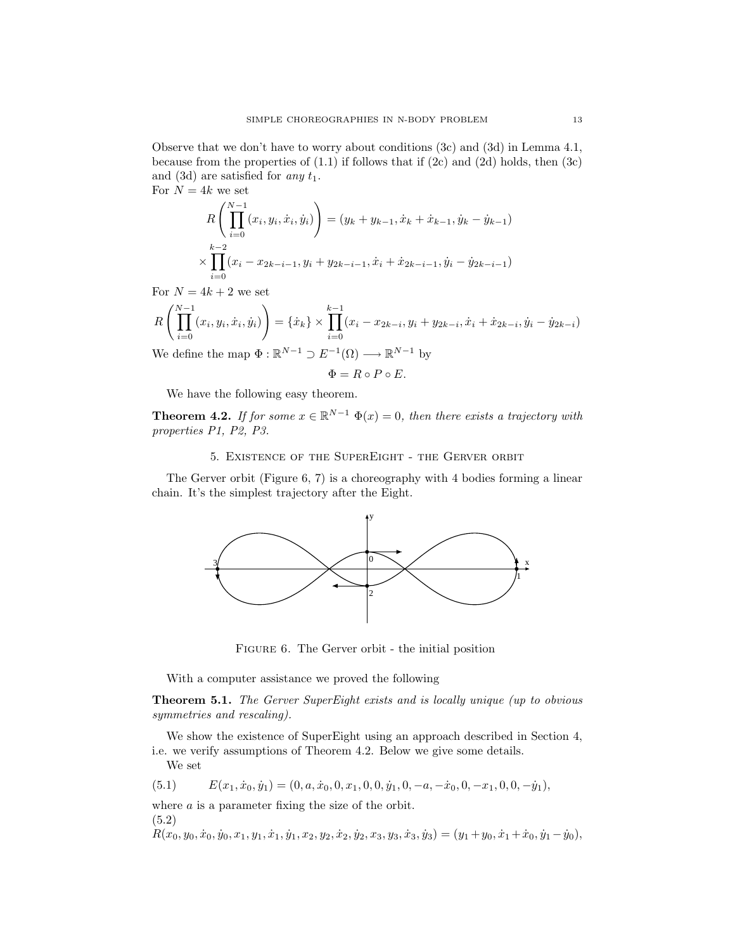Observe that we don't have to worry about conditions (3c) and (3d) in Lemma 4.1, because from the properties of  $(1.1)$  if follows that if  $(2c)$  and  $(2d)$  holds, then  $(3c)$ and (3d) are satisfied for *any*  $t_1$ . For  $N = 4k$  we set

R  $\sqrt{\frac{N-1}{N}}$  $i=0$  $(x_i, y_i, \dot{x}_i, \dot{y}_i)$ !<br>}  $=(y_k + y_{k-1}, \dot{x}_k + \dot{x}_{k-1}, \dot{y}_k - \dot{y}_{k-1})$ ×  $\frac{k-2}{1}$  $i=0$  $(x_i - x_{2k-i-1}, y_i + y_{2k-i-1}, \dot{x}_i + \dot{x}_{2k-i-1}, \dot{y}_i - \dot{y}_{2k-i-1})$ 

For  $N = 4k + 2$  we set

$$
R\left(\prod_{i=0}^{N-1} (x_i, y_i, \dot{x}_i, \dot{y}_i)\right) = \{\dot{x}_k\} \times \prod_{i=0}^{k-1} (x_i - x_{2k-i}, y_i + y_{2k-i}, \dot{x}_i + \dot{x}_{2k-i}, \dot{y}_i - \dot{y}_{2k-i})
$$

We define the map  $\Phi : \mathbb{R}^{N-1} \supset E^{-1}(\Omega) \longrightarrow \mathbb{R}^{N-1}$  by

$$
\Phi = R \circ P \circ E.
$$

We have the following easy theorem.

**Theorem 4.2.** If for some  $x \in \mathbb{R}^{N-1}$   $\Phi(x) = 0$ , then there exists a trajectory with properties P1, P2, P3.

## 5. Existence of the SuperEight - the Gerver orbit

The Gerver orbit (Figure 6, 7) is a choreography with 4 bodies forming a linear chain. It's the simplest trajectory after the Eight.



Figure 6. The Gerver orbit - the initial position

With a computer assistance we proved the following

Theorem 5.1. The Gerver SuperEight exists and is locally unique (up to obvious symmetries and rescaling).

We show the existence of SuperEight using an approach described in Section 4, i.e. we verify assumptions of Theorem 4.2. Below we give some details. We set

(5.1) 
$$
E(x_1, \dot{x}_0, \dot{y}_1) = (0, a, \dot{x}_0, 0, x_1, 0, 0, \dot{y}_1, 0, -a, -\dot{x}_0, 0, -x_1, 0, 0, -\dot{y}_1),
$$

where a is a parameter fixing the size of the orbit. (5.2)

 $R(x_0, y_0, \dot{x}_0, \dot{y}_0, x_1, y_1, \dot{x}_1, \dot{y}_1, x_2, y_2, \dot{x}_2, \dot{y}_2, x_3, y_3, \dot{x}_3, \dot{y}_3) = (y_1 + y_0, \dot{x}_1 + \dot{x}_0, \dot{y}_1 - \dot{y}_0),$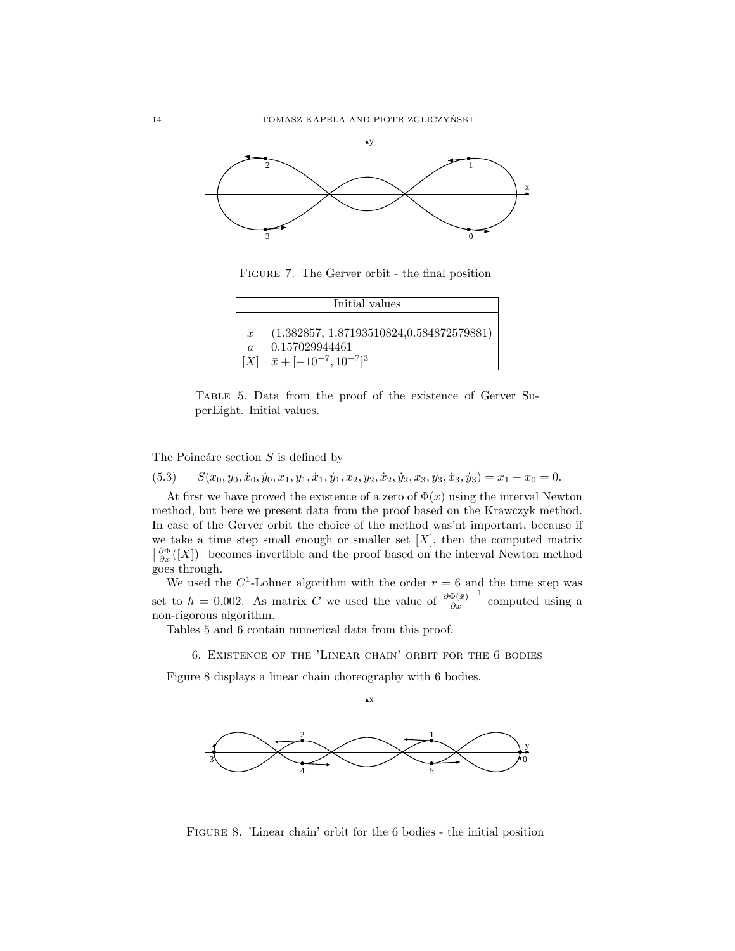

Figure 7. The Gerver orbit - the final position

| Initial values |                                                                                                                          |  |
|----------------|--------------------------------------------------------------------------------------------------------------------------|--|
|                |                                                                                                                          |  |
| $\bar{x}$      | $\big  \; (1.382857, \, 1.87193510824, 0.584872579881)$                                                                  |  |
|                |                                                                                                                          |  |
|                | $\begin{bmatrix} a \\ [X] \end{bmatrix} \begin{bmatrix} 0.157029944461 \\ \bar{x} + [-10^{-7}, 10^{-7}]^3 \end{bmatrix}$ |  |

Table 5. Data from the proof of the existence of Gerver SuperEight. Initial values.

The Poincáre section  $S$  is defined by

(5.3)  $S(x_0, y_0, \dot{x}_0, \dot{y}_0, x_1, y_1, \dot{x}_1, \dot{y}_1, x_2, y_2, \dot{x}_2, \dot{y}_2, x_3, y_3, \dot{x}_3, \dot{y}_3) = x_1 - x_0 = 0.$ 

At first we have proved the existence of a zero of  $\Phi(x)$  using the interval Newton method, but here we present data from the proof based on the Krawczyk method. In case of the Gerver orbit the choice of the method was'nt important, because if we take a time step small enough or smaller set  $[X]$ , then the computed matrix <sup>*o*</sup> take a time step small enough or smaller set [A], then the computed matrix  $\frac{\partial \Phi}{\partial x}([X])$  becomes invertible and the proof based on the interval Newton method goes through.

We used the  $C^1$ -Lohner algorithm with the order  $r = 6$  and the time step was set to  $h = 0.002$ . As matrix C we used the value of  $\frac{\partial \Phi(\bar{x})}{\partial x}$ −1 computed using a non-rigorous algorithm.

Tables 5 and 6 contain numerical data from this proof.

6. Existence of the 'Linear chain' orbit for the 6 bodies

Figure 8 displays a linear chain choreography with 6 bodies.



Figure 8. 'Linear chain' orbit for the 6 bodies - the initial position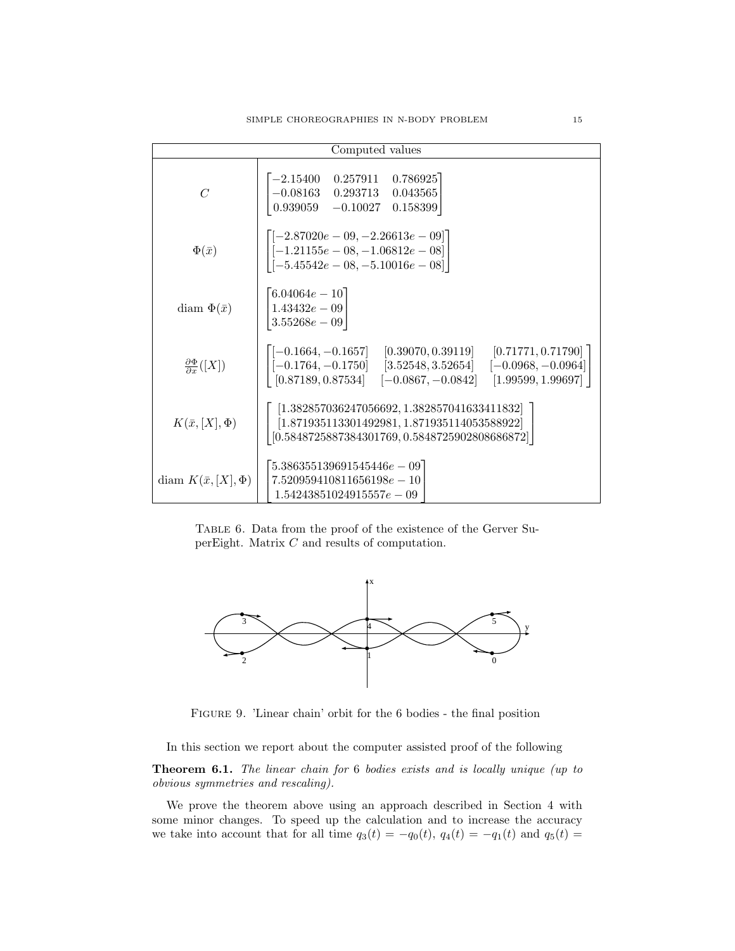| Computed values                         |                                                                                                                                                                                                   |  |
|-----------------------------------------|---------------------------------------------------------------------------------------------------------------------------------------------------------------------------------------------------|--|
| $\overline{C}$                          | 0.786925<br>$-2.15400$<br>0.257911<br>$-0.08163$ 0.293713<br>0.043565<br>$0.939059 - 0.10027$<br>0.158399                                                                                         |  |
| $\Phi(\bar{x})$                         | $[-2.87020e - 09, -2.26613e - 09]$<br>$\begin{bmatrix}[-1.21155e-08,-1.06812e-08]\[-5.45542e-08,-5.10016e-08]\end{bmatrix}$                                                                       |  |
| diam $\Phi(\bar{x})$                    | $\lceil 6.04064e - 10 \rceil$<br>$1.43432e - 09$<br>$3.55268e - 09$                                                                                                                               |  |
| $\frac{\partial \Phi}{\partial x}([X])$ | $[-0.1664, -0.1657]$ $[0.39070, 0.39119]$ $[0.71771, 0.71790]$ ]<br>$[-0.1764, -0.1750]$ [3.52548, 3.52654] [-0.0968, -0.0964]<br>$[0.87189, 0.87534]$ $[-0.0867, -0.0842]$<br>[1.99599, 1.99697] |  |
| $K(\bar{x},[X],\Phi)$                   | $[1.382857036247056692, 1.382857041633411832]$<br>$[1.871935113301492981, 1.871935114053588922]$<br>$[0.5848725887384301769, 0.5848725902808686872]$                                              |  |
| diam $K(\bar{x}, [X], \Phi)$            | $5.386355139691545446e-09$<br>$7.520959410811656198e - 10$<br>$1.54243851024915557e - 09$                                                                                                         |  |

Table 6. Data from the proof of the existence of the Gerver SuperEight. Matrix C and results of computation.



Figure 9. 'Linear chain' orbit for the 6 bodies - the final position

In this section we report about the computer assisted proof of the following

Theorem 6.1. The linear chain for 6 bodies exists and is locally unique (up to obvious symmetries and rescaling).

We prove the theorem above using an approach described in Section 4 with some minor changes. To speed up the calculation and to increase the accuracy we take into account that for all time  $q_3(t) = -q_0(t)$ ,  $q_4(t) = -q_1(t)$  and  $q_5(t) =$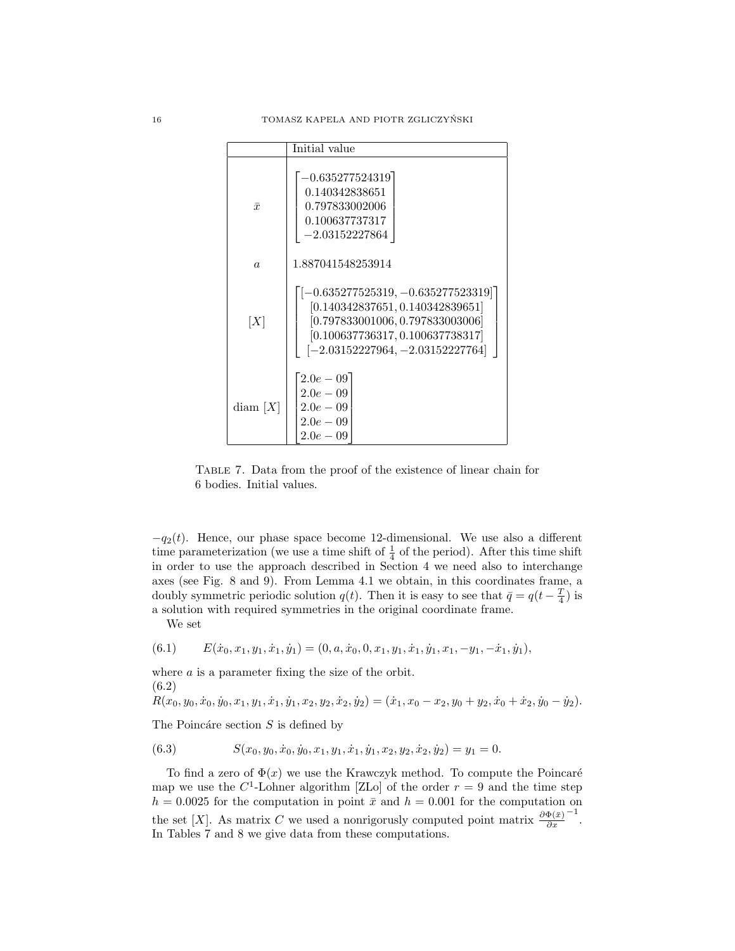

Table 7. Data from the proof of the existence of linear chain for 6 bodies. Initial values.

 $-q_2(t)$ . Hence, our phase space become 12-dimensional. We use also a different time parameterization (we use a time shift of  $\frac{1}{4}$  of the period). After this time shift in order to use the approach described in Section 4 we need also to interchange axes (see Fig. 8 and 9). From Lemma 4.1 we obtain, in this coordinates frame, a doubly symmetric periodic solution  $q(t)$ . Then it is easy to see that  $\bar{q} = q(t - \frac{T}{4})$  is a solution with required symmetries in the original coordinate frame.

We set

$$
(6.1) \qquad E(\dot{x}_0, x_1, y_1, \dot{x}_1, \dot{y}_1) = (0, a, \dot{x}_0, 0, x_1, y_1, \dot{x}_1, \dot{y}_1, x_1, -y_1, -\dot{x}_1, \dot{y}_1),
$$

where  $a$  is a parameter fixing the size of the orbit. (6.2)

$$
R(x_0, y_0, \dot{x}_0, \dot{y}_0, x_1, y_1, \dot{x}_1, \dot{y}_1, x_2, y_2, \dot{x}_2, \dot{y}_2) = (\dot{x}_1, x_0 - x_2, y_0 + y_2, \dot{x}_0 + \dot{x}_2, \dot{y}_0 - \dot{y}_2).
$$

The Poincáre section  $S$  is defined by

(6.3) 
$$
S(x_0, y_0, \dot{x}_0, \dot{y}_0, x_1, y_1, \dot{x}_1, \dot{y}_1, x_2, y_2, \dot{x}_2, \dot{y}_2) = y_1 = 0.
$$

To find a zero of  $\Phi(x)$  we use the Krawczyk method. To compute the Poincaré map we use the  $C^1$ -Lohner algorithm [ZLo] of the order  $r = 9$  and the time step  $h = 0.0025$  for the computation in point  $\bar{x}$  and  $h = 0.001$  for the computation on the set [X]. As matrix C we used a nonrigorusly computed point matrix  $\frac{\partial \Phi(\bar{x})}{\partial x}$ −1 . In Tables 7 and 8 we give data from these computations.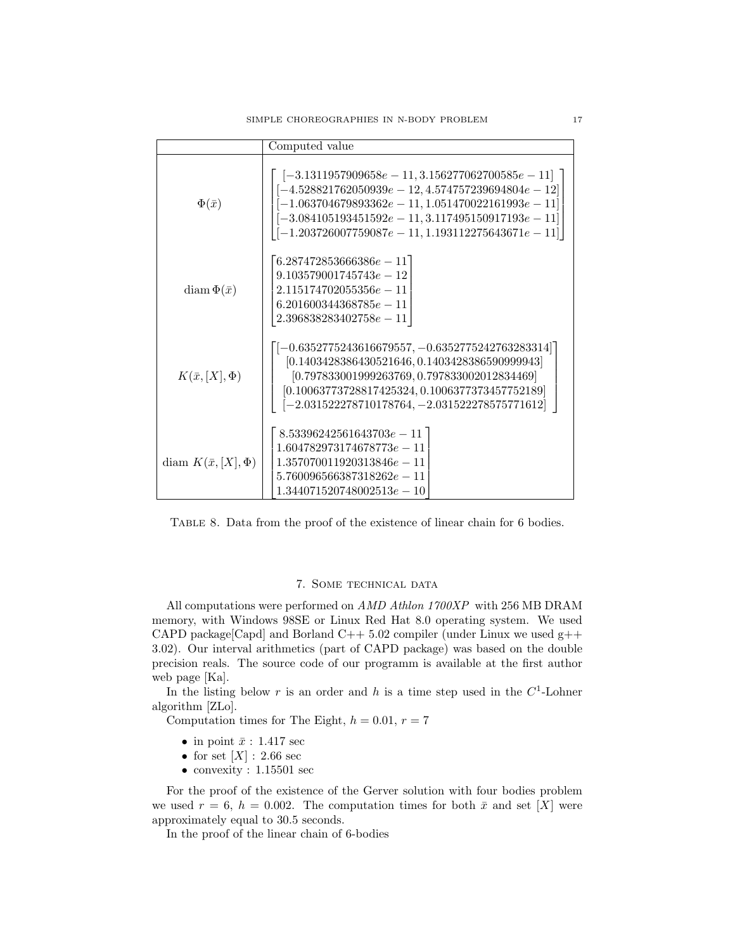|                              | Computed value                                                                                                                                                                                                                                                                      |
|------------------------------|-------------------------------------------------------------------------------------------------------------------------------------------------------------------------------------------------------------------------------------------------------------------------------------|
| $\Phi(\bar{x})$              | $[-3.1311957909658e - 11, 3.156277062700585e - 11]$<br>$-4.528821762050939e - 12, 4.574757239694804e - 12$<br>$[-1.063704679893362e - 11, 1.051470022161993e - 11]$<br>$[-3.084105193451592e - 11, 3.117495150917193e - 11]$<br>$-1.203726007759087e - 11, 1.193112275643671e - 11$ |
| diam $\Phi(\bar{x})$         | $\lceil 6.287472853666386e-11 \rceil$<br>$9.103579001745743e - 12$<br>$2.115174702055356e - 11$<br>$6.201600344368785e - 11$<br>$2.396838283402758e-11$                                                                                                                             |
| $K(\bar{x},[X],\Phi)$        | $[-0.6352775243616679557, -0.6352775242763283314]$<br>$[0.1403428386430521646, 0.1403428386590999943]$<br>$[0.797833001999263769, 0.797833002012834469]$<br>$[0.10063773728817425324, 0.1006377373457752189]$<br>$[-2.031522278710178764, -2.031522278575771612]$                   |
| diam $K(\bar{x}, [X], \Phi)$ | $8.53396242561643703e-11$<br>$1.604782973174678773e - 11$<br>$1.357070011920313846e - 11$<br>$5.760096566387318262e - 11$<br>$1.344071520748002513e - 10$                                                                                                                           |

Table 8. Data from the proof of the existence of linear chain for 6 bodies.

## 7. Some technical data

All computations were performed on AMD Athlon 1700XP with 256 MB DRAM memory, with Windows 98SE or Linux Red Hat 8.0 operating system. We used CAPD package [Capd] and Borland C++  $5.02$  compiler (under Linux we used  $g++$ 3.02). Our interval arithmetics (part of CAPD package) was based on the double precision reals. The source code of our programm is available at the first author web page [Ka].

In the listing below r is an order and h is a time step used in the  $C^1$ -Lohner algorithm [ZLo].

Computation times for The Eight,  $h = 0.01$ ,  $r = 7$ 

- in point  $\bar{x}$  : 1.417 sec
- for set  $[X]$  : 2.66 sec
- convexity : 1.15501 sec

For the proof of the existence of the Gerver solution with four bodies problem we used  $r = 6$ ,  $h = 0.002$ . The computation times for both  $\bar{x}$  and set [X] were approximately equal to 30.5 seconds.

In the proof of the linear chain of 6-bodies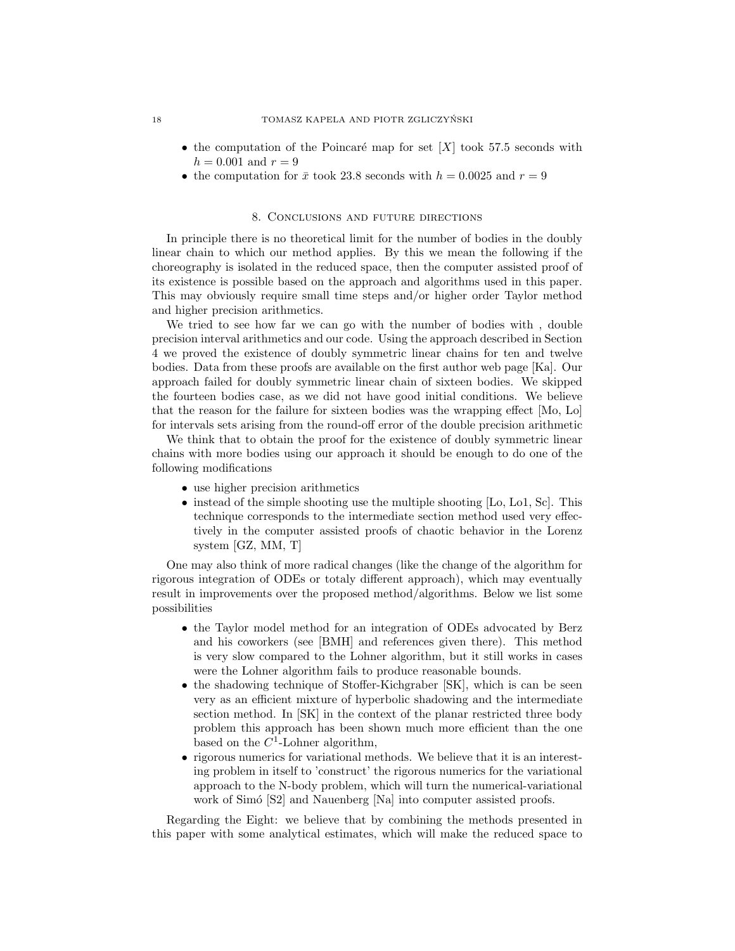- the computation of the Poincaré map for set  $[X]$  took 57.5 seconds with  $h = 0.001$  and  $r = 9$
- the computation for  $\bar{x}$  took 23.8 seconds with  $h = 0.0025$  and  $r = 9$

### 8. Conclusions and future directions

In principle there is no theoretical limit for the number of bodies in the doubly linear chain to which our method applies. By this we mean the following if the choreography is isolated in the reduced space, then the computer assisted proof of its existence is possible based on the approach and algorithms used in this paper. This may obviously require small time steps and/or higher order Taylor method and higher precision arithmetics.

We tried to see how far we can go with the number of bodies with , double precision interval arithmetics and our code. Using the approach described in Section 4 we proved the existence of doubly symmetric linear chains for ten and twelve bodies. Data from these proofs are available on the first author web page [Ka]. Our approach failed for doubly symmetric linear chain of sixteen bodies. We skipped the fourteen bodies case, as we did not have good initial conditions. We believe that the reason for the failure for sixteen bodies was the wrapping effect [Mo, Lo] for intervals sets arising from the round-off error of the double precision arithmetic

We think that to obtain the proof for the existence of doubly symmetric linear chains with more bodies using our approach it should be enough to do one of the following modifications

- use higher precision arithmetics
- instead of the simple shooting use the multiple shooting [Lo, Lo1, Sc]. This technique corresponds to the intermediate section method used very effectively in the computer assisted proofs of chaotic behavior in the Lorenz system [GZ, MM, T]

One may also think of more radical changes (like the change of the algorithm for rigorous integration of ODEs or totaly different approach), which may eventually result in improvements over the proposed method/algorithms. Below we list some possibilities

- the Taylor model method for an integration of ODEs advocated by Berz and his coworkers (see [BMH] and references given there). This method is very slow compared to the Lohner algorithm, but it still works in cases were the Lohner algorithm fails to produce reasonable bounds.
- the shadowing technique of Stoffer-Kichgraber [SK], which is can be seen very as an efficient mixture of hyperbolic shadowing and the intermediate section method. In [SK] in the context of the planar restricted three body problem this approach has been shown much more efficient than the one based on the  $C^1$ -Lohner algorithm,
- rigorous numerics for variational methods. We believe that it is an interesting problem in itself to 'construct' the rigorous numerics for the variational approach to the N-body problem, which will turn the numerical-variational work of Simó [S2] and Nauenberg [Na] into computer assisted proofs.

Regarding the Eight: we believe that by combining the methods presented in this paper with some analytical estimates, which will make the reduced space to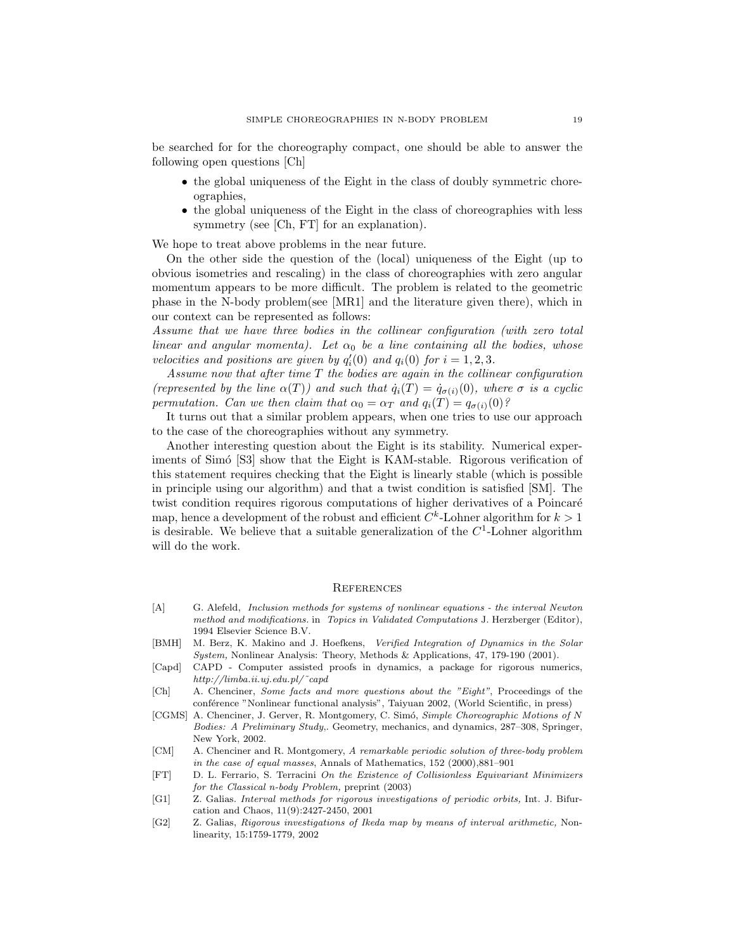be searched for for the choreography compact, one should be able to answer the following open questions [Ch]

- the global uniqueness of the Eight in the class of doubly symmetric choreographies,
- the global uniqueness of the Eight in the class of choreographies with less symmetry (see [Ch, FT] for an explanation).

We hope to treat above problems in the near future.

On the other side the question of the (local) uniqueness of the Eight (up to obvious isometries and rescaling) in the class of choreographies with zero angular momentum appears to be more difficult. The problem is related to the geometric phase in the N-body problem(see [MR1] and the literature given there), which in our context can be represented as follows:

Assume that we have three bodies in the collinear configuration (with zero total linear and angular momenta). Let  $\alpha_0$  be a line containing all the bodies, whose velocities and positions are given by  $q_i'(0)$  and  $q_i(0)$  for  $i = 1, 2, 3$ .

Assume now that after time T the bodies are again in the collinear configuration (represented by the line  $\alpha(T)$ ) and such that  $\dot{q}_i(T) = \dot{q}_{\sigma(i)}(0)$ , where  $\sigma$  is a cyclic permutation. Can we then claim that  $\alpha_0 = \alpha_T$  and  $q_i(T) = q_{\sigma(i)}(0)$ ?

It turns out that a similar problem appears, when one tries to use our approach to the case of the choreographies without any symmetry.

Another interesting question about the Eight is its stability. Numerical experiments of Simó [S3] show that the Eight is KAM-stable. Rigorous verification of this statement requires checking that the Eight is linearly stable (which is possible in principle using our algorithm) and that a twist condition is satisfied [SM]. The twist condition requires rigorous computations of higher derivatives of a Poincaré map, hence a development of the robust and efficient  $C<sup>k</sup>$ -Lohner algorithm for  $k > 1$ is desirable. We believe that a suitable generalization of the  $C<sup>1</sup>$ -Lohner algorithm will do the work.

#### **REFERENCES**

- [A] G. Alefeld, Inclusion methods for systems of nonlinear equations the interval Newton method and modifications. in Topics in Validated Computations J. Herzberger (Editor), 1994 Elsevier Science B.V.
- [BMH] M. Berz, K. Makino and J. Hoefkens, Verified Integration of Dynamics in the Solar System, Nonlinear Analysis: Theory, Methods & Applications, 47, 179-190 (2001).
- [Capd] CAPD Computer assisted proofs in dynamics, a package for rigorous numerics, http://limba.ii.uj.edu.pl/˜capd
- [Ch] A. Chenciner, Some facts and more questions about the "Eight", Proceedings of the conférence "Nonlinear functional analysis", Taiyuan 2002, (World Scientific, in press)
- [CGMS] A. Chenciner, J. Gerver, R. Montgomery, C. Simó, Simple Choreographic Motions of N Bodies: A Preliminary Study,. Geometry, mechanics, and dynamics, 287–308, Springer, New York, 2002.
- [CM] A. Chenciner and R. Montgomery, A remarkable periodic solution of three-body problem in the case of equal masses, Annals of Mathematics, 152 (2000),881–901
- [FT] D. L. Ferrario, S. Terracini On the Existence of Collisionless Equivariant Minimizers for the Classical n-body Problem, preprint (2003)
- [G1] Z. Galias. Interval methods for rigorous investigations of periodic orbits, Int. J. Bifurcation and Chaos, 11(9):2427-2450, 2001
- [G2] Z. Galias, Rigorous investigations of Ikeda map by means of interval arithmetic, Nonlinearity, 15:1759-1779, 2002